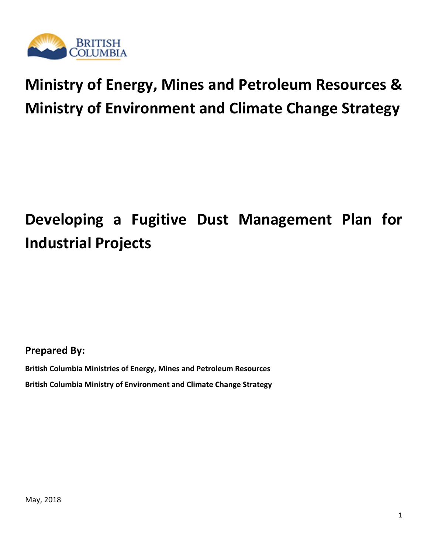

# **Ministry of Energy, Mines and Petroleum Resources & Ministry of Environment and Climate Change Strategy**

# **Developing a Fugitive Dust Management Plan for Industrial Projects**

**Prepared By:**

**British Columbia Ministries of Energy, Mines and Petroleum Resources British Columbia Ministry of Environment and Climate Change Strategy**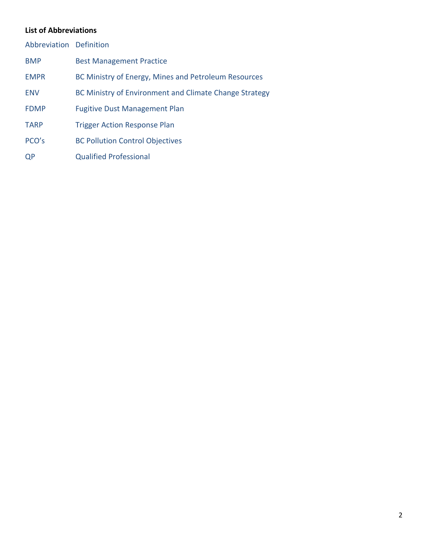#### **List of Abbreviations**

| Abbreviation Definition |                                                        |
|-------------------------|--------------------------------------------------------|
| <b>BMP</b>              | <b>Best Management Practice</b>                        |
| <b>EMPR</b>             | BC Ministry of Energy, Mines and Petroleum Resources   |
| <b>ENV</b>              | BC Ministry of Environment and Climate Change Strategy |
| <b>FDMP</b>             | <b>Fugitive Dust Management Plan</b>                   |
| <b>TARP</b>             | <b>Trigger Action Response Plan</b>                    |
| PCO's                   | <b>BC Pollution Control Objectives</b>                 |
| QP                      | <b>Qualified Professional</b>                          |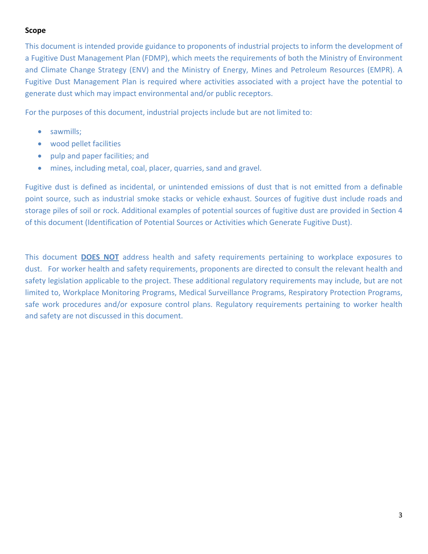#### **Scope**

This document is intended provide guidance to proponents of industrial projects to inform the development of a Fugitive Dust Management Plan (FDMP), which meets the requirements of both the Ministry of Environment and Climate Change Strategy (ENV) and the Ministry of Energy, Mines and Petroleum Resources (EMPR). A Fugitive Dust Management Plan is required where activities associated with a project have the potential to generate dust which may impact environmental and/or public receptors.

For the purposes of this document, industrial projects include but are not limited to:

- sawmills:
- wood pellet facilities
- pulp and paper facilities; and
- mines, including metal, coal, placer, quarries, sand and gravel.

Fugitive dust is defined as incidental, or unintended emissions of dust that is not emitted from a definable point source, such as industrial smoke stacks or vehicle exhaust. Sources of fugitive dust include roads and storage piles of soil or rock. Additional examples of potential sources of fugitive dust are provided in Section 4 of this document (Identification of Potential Sources or Activities which Generate Fugitive Dust).

This document **DOES NOT** address health and safety requirements pertaining to workplace exposures to dust. For worker health and safety requirements, proponents are directed to consult the relevant health and safety legislation applicable to the project. These additional regulatory requirements may include, but are not limited to, Workplace Monitoring Programs, Medical Surveillance Programs, Respiratory Protection Programs, safe work procedures and/or exposure control plans. Regulatory requirements pertaining to worker health and safety are not discussed in this document.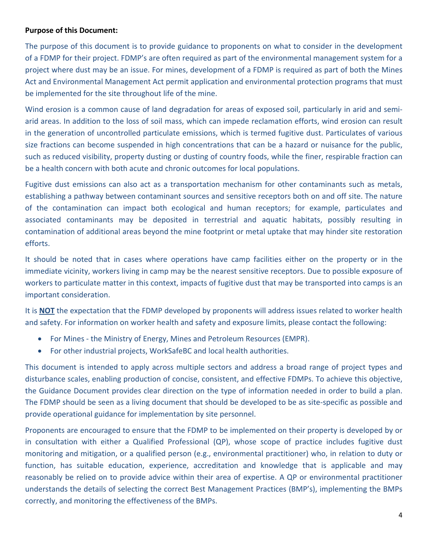#### **Purpose of this Document:**

The purpose of this document is to provide guidance to proponents on what to consider in the development of a FDMP for their project. FDMP's are often required as part of the environmental management system for a project where dust may be an issue. For mines, development of a FDMP is required as part of both the Mines Act and Environmental Management Act permit application and environmental protection programs that must be implemented for the site throughout life of the mine.

Wind erosion is a common cause of land degradation for areas of exposed soil, particularly in arid and semiarid areas. In addition to the loss of soil mass, which can impede reclamation efforts, wind erosion can result in the generation of uncontrolled particulate emissions, which is termed fugitive dust. Particulates of various size fractions can become suspended in high concentrations that can be a hazard or nuisance for the public, such as reduced visibility, property dusting or dusting of country foods, while the finer, respirable fraction can be a health concern with both acute and chronic outcomes for local populations.

Fugitive dust emissions can also act as a transportation mechanism for other contaminants such as metals, establishing a pathway between contaminant sources and sensitive receptors both on and off site. The nature of the contamination can impact both ecological and human receptors; for example, particulates and associated contaminants may be deposited in terrestrial and aquatic habitats, possibly resulting in contamination of additional areas beyond the mine footprint or metal uptake that may hinder site restoration efforts.

It should be noted that in cases where operations have camp facilities either on the property or in the immediate vicinity, workers living in camp may be the nearest sensitive receptors. Due to possible exposure of workers to particulate matter in this context, impacts of fugitive dust that may be transported into camps is an important consideration.

It is **NOT** the expectation that the FDMP developed by proponents will address issues related to worker health and safety. For information on worker health and safety and exposure limits, please contact the following:

- For Mines ‐ the Ministry of Energy, Mines and Petroleum Resources (EMPR).
- For other industrial projects, WorkSafeBC and local health authorities.

This document is intended to apply across multiple sectors and address a broad range of project types and disturbance scales, enabling production of concise, consistent, and effective FDMPs. To achieve this objective, the Guidance Document provides clear direction on the type of information needed in order to build a plan. The FDMP should be seen as a living document that should be developed to be as site‐specific as possible and provide operational guidance for implementation by site personnel.

Proponents are encouraged to ensure that the FDMP to be implemented on their property is developed by or in consultation with either a Qualified Professional (QP), whose scope of practice includes fugitive dust monitoring and mitigation, or a qualified person (e.g., environmental practitioner) who, in relation to duty or function, has suitable education, experience, accreditation and knowledge that is applicable and may reasonably be relied on to provide advice within their area of expertise. A QP or environmental practitioner understands the details of selecting the correct Best Management Practices (BMP's), implementing the BMPs correctly, and monitoring the effectiveness of the BMPs.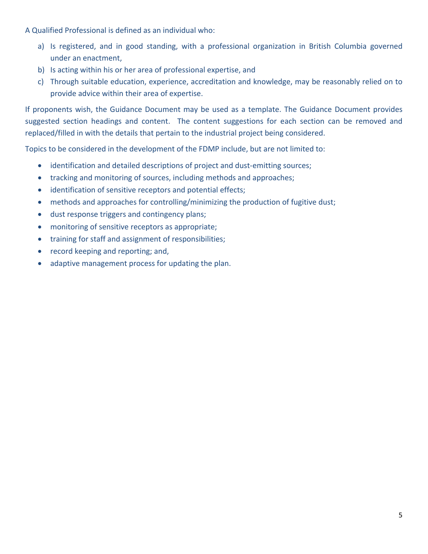A Qualified Professional is defined as an individual who:

- a) Is registered, and in good standing, with a professional organization in British Columbia governed under an enactment,
- b) Is acting within his or her area of professional expertise, and
- c) Through suitable education, experience, accreditation and knowledge, may be reasonably relied on to provide advice within their area of expertise.

If proponents wish, the Guidance Document may be used as a template. The Guidance Document provides suggested section headings and content. The content suggestions for each section can be removed and replaced/filled in with the details that pertain to the industrial project being considered.

Topics to be considered in the development of the FDMP include, but are not limited to:

- identification and detailed descriptions of project and dust-emitting sources;
- tracking and monitoring of sources, including methods and approaches;
- identification of sensitive receptors and potential effects;
- methods and approaches for controlling/minimizing the production of fugitive dust;
- dust response triggers and contingency plans;
- monitoring of sensitive receptors as appropriate;
- training for staff and assignment of responsibilities;
- record keeping and reporting; and,
- adaptive management process for updating the plan.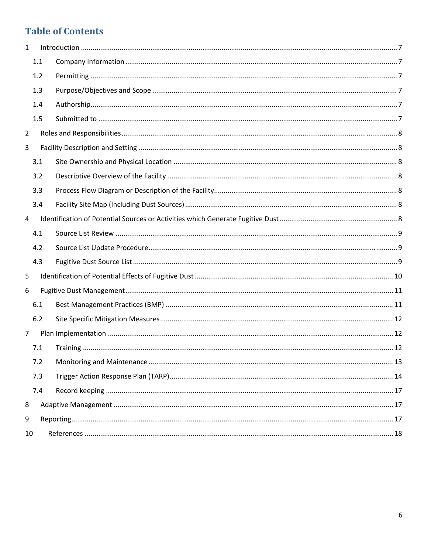# **Table of Contents**

| $\mathbf{1}$   |     |  |  |  |  |  |  |
|----------------|-----|--|--|--|--|--|--|
|                | 1.1 |  |  |  |  |  |  |
|                | 1.2 |  |  |  |  |  |  |
|                | 1.3 |  |  |  |  |  |  |
|                | 1.4 |  |  |  |  |  |  |
|                | 1.5 |  |  |  |  |  |  |
| $\overline{2}$ |     |  |  |  |  |  |  |
| 3              |     |  |  |  |  |  |  |
|                | 3.1 |  |  |  |  |  |  |
|                | 3.2 |  |  |  |  |  |  |
|                | 3.3 |  |  |  |  |  |  |
|                | 3.4 |  |  |  |  |  |  |
| 4              |     |  |  |  |  |  |  |
|                | 4.1 |  |  |  |  |  |  |
|                | 4.2 |  |  |  |  |  |  |
|                | 4.3 |  |  |  |  |  |  |
| 5              |     |  |  |  |  |  |  |
| 6              |     |  |  |  |  |  |  |
|                | 6.1 |  |  |  |  |  |  |
|                | 6.2 |  |  |  |  |  |  |
| $\overline{7}$ |     |  |  |  |  |  |  |
|                | 7.1 |  |  |  |  |  |  |
|                | 7.2 |  |  |  |  |  |  |
|                | 7.3 |  |  |  |  |  |  |
|                | 7.4 |  |  |  |  |  |  |
| 8              |     |  |  |  |  |  |  |
| 9              |     |  |  |  |  |  |  |
| 10             |     |  |  |  |  |  |  |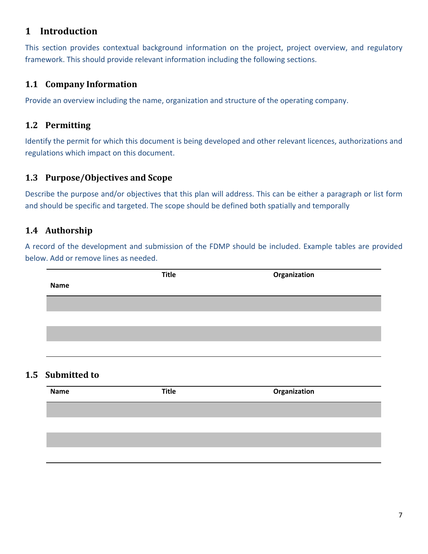## **1 Introduction**

This section provides contextual background information on the project, project overview, and regulatory framework. This should provide relevant information including the following sections.

#### **1.1 Company Information**

Provide an overview including the name, organization and structure of the operating company.

#### **1.2 Permitting**

Identify the permit for which this document is being developed and other relevant licences, authorizations and regulations which impact on this document.

#### **1.3 Purpose/Objectives and Scope**

Describe the purpose and/or objectives that this plan will address. This can be either a paragraph or list form and should be specific and targeted. The scope should be defined both spatially and temporally

## **1.4 Authorship**

A record of the development and submission of the FDMP should be included. Example tables are provided below. Add or remove lines as needed.

|      | <b>Title</b> | Organization |
|------|--------------|--------------|
| Name |              |              |
|      |              |              |
|      |              |              |
|      |              |              |
|      |              |              |

#### **1.5 Submitted to**

| <b>Name</b> | <b>Title</b> | Organization |
|-------------|--------------|--------------|
|             |              |              |
|             |              |              |
|             |              |              |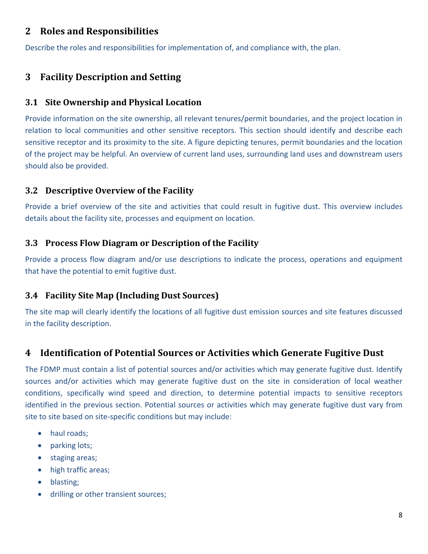## **2 Roles and Responsibilities**

Describe the roles and responsibilities for implementation of, and compliance with, the plan.

## **3 Facility Description and Setting**

#### **3.1 Site Ownership and Physical Location**

Provide information on the site ownership, all relevant tenures/permit boundaries, and the project location in relation to local communities and other sensitive receptors. This section should identify and describe each sensitive receptor and its proximity to the site. A figure depicting tenures, permit boundaries and the location of the project may be helpful. An overview of current land uses, surrounding land uses and downstream users should also be provided.

#### **3.2 Descriptive Overview of the Facility**

Provide a brief overview of the site and activities that could result in fugitive dust. This overview includes details about the facility site, processes and equipment on location.

#### **3.3 Process Flow Diagram or Description of the Facility**

Provide a process flow diagram and/or use descriptions to indicate the process, operations and equipment that have the potential to emit fugitive dust.

## **3.4 Facility Site Map (Including Dust Sources)**

The site map will clearly identify the locations of all fugitive dust emission sources and site features discussed in the facility description.

## **4 Identification of Potential Sources or Activities which Generate Fugitive Dust**

The FDMP must contain a list of potential sources and/or activities which may generate fugitive dust. Identify sources and/or activities which may generate fugitive dust on the site in consideration of local weather conditions, specifically wind speed and direction, to determine potential impacts to sensitive receptors identified in the previous section. Potential sources or activities which may generate fugitive dust vary from site to site based on site-specific conditions but may include:

- haul roads;
- parking lots;
- staging areas;
- high traffic areas;
- blasting;
- drilling or other transient sources;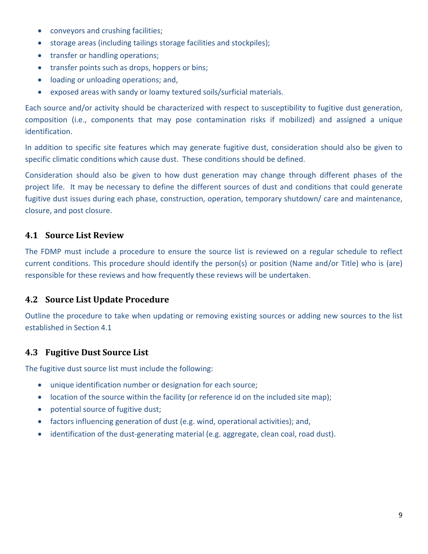- conveyors and crushing facilities;
- storage areas (including tailings storage facilities and stockpiles);
- transfer or handling operations;
- transfer points such as drops, hoppers or bins;
- loading or unloading operations; and,
- exposed areas with sandy or loamy textured soils/surficial materials.

Each source and/or activity should be characterized with respect to susceptibility to fugitive dust generation, composition (i.e., components that may pose contamination risks if mobilized) and assigned a unique identification.

In addition to specific site features which may generate fugitive dust, consideration should also be given to specific climatic conditions which cause dust. These conditions should be defined.

Consideration should also be given to how dust generation may change through different phases of the project life. It may be necessary to define the different sources of dust and conditions that could generate fugitive dust issues during each phase, construction, operation, temporary shutdown/ care and maintenance, closure, and post closure.

## **4.1 Source List Review**

The FDMP must include a procedure to ensure the source list is reviewed on a regular schedule to reflect current conditions. This procedure should identify the person(s) or position (Name and/or Title) who is (are) responsible for these reviews and how frequently these reviews will be undertaken.

## **4.2 Source List Update Procedure**

Outline the procedure to take when updating or removing existing sources or adding new sources to the list established in Section 4.1

## **4.3 Fugitive Dust Source List**

The fugitive dust source list must include the following:

- unique identification number or designation for each source;
- location of the source within the facility (or reference id on the included site map);
- potential source of fugitive dust;
- factors influencing generation of dust (e.g. wind, operational activities); and,
- identification of the dust-generating material (e.g. aggregate, clean coal, road dust).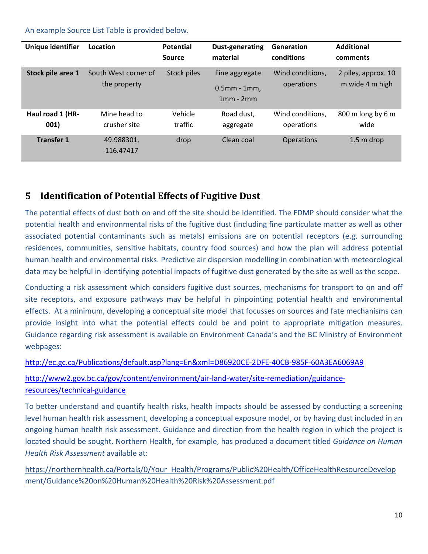An example Source List Table is provided below.

| Unique identifier        | Location                             | <b>Potential</b><br><b>Source</b> | <b>Dust-generating</b><br>material               | <b>Generation</b><br>conditions | <b>Additional</b><br>comments          |  |
|--------------------------|--------------------------------------|-----------------------------------|--------------------------------------------------|---------------------------------|----------------------------------------|--|
| Stock pile area 1        | South West corner of<br>the property | Stock piles                       | Fine aggregate<br>$0.5$ mm - 1mm,<br>$1mm - 2mm$ | Wind conditions,<br>operations  | 2 piles, approx. 10<br>m wide 4 m high |  |
| Haul road 1 (HR-<br>001) | Mine head to<br>crusher site         | Vehicle<br>traffic                | Road dust,<br>aggregate                          | Wind conditions,<br>operations  | 800 m long by 6 m<br>wide              |  |
| <b>Transfer 1</b>        | 49.988301,<br>116.47417              | drop                              | Clean coal                                       | <b>Operations</b>               | $1.5m$ drop                            |  |

## **5 Identification of Potential Effects of Fugitive Dust**

The potential effects of dust both on and off the site should be identified. The FDMP should consider what the potential health and environmental risks of the fugitive dust (including fine particulate matter as well as other associated potential contaminants such as metals) emissions are on potential receptors (e.g. surrounding residences, communities, sensitive habitats, country food sources) and how the plan will address potential human health and environmental risks. Predictive air dispersion modelling in combination with meteorological data may be helpful in identifying potential impacts of fugitive dust generated by the site as well as the scope.

Conducting a risk assessment which considers fugitive dust sources, mechanisms for transport to on and off site receptors, and exposure pathways may be helpful in pinpointing potential health and environmental effects. At a minimum, developing a conceptual site model that focusses on sources and fate mechanisms can provide insight into what the potential effects could be and point to appropriate mitigation measures. Guidance regarding risk assessment is available on Environment Canada's and the BC Ministry of Environment webpages:

http://ec.gc.ca/Publications/default.asp?lang=En&xml=D86920CE‐2DFE‐40CB‐985F‐60A3EA6069A9

http://www2.gov.bc.ca/gov/content/environment/air‐land‐water/site‐remediation/guidance‐ resources/technical‐guidance

To better understand and quantify health risks, health impacts should be assessed by conducting a screening level human health risk assessment, developing a conceptual exposure model, or by having dust included in an ongoing human health risk assessment. Guidance and direction from the health region in which the project is located should be sought. Northern Health, for example, has produced a document titled *Guidance on Human Health Risk Assessment* available at:

https://northernhealth.ca/Portals/0/Your\_Health/Programs/Public%20Health/OfficeHealthResourceDevelop ment/Guidance%20on%20Human%20Health%20Risk%20Assessment.pdf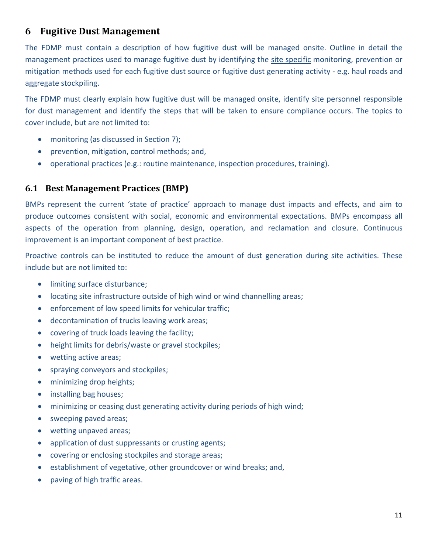## **6 Fugitive Dust Management**

The FDMP must contain a description of how fugitive dust will be managed onsite. Outline in detail the management practices used to manage fugitive dust by identifying the site specific monitoring, prevention or mitigation methods used for each fugitive dust source or fugitive dust generating activity ‐ e.g. haul roads and aggregate stockpiling.

The FDMP must clearly explain how fugitive dust will be managed onsite, identify site personnel responsible for dust management and identify the steps that will be taken to ensure compliance occurs. The topics to cover include, but are not limited to:

- monitoring (as discussed in Section 7);
- prevention, mitigation, control methods; and,
- operational practices (e.g.: routine maintenance, inspection procedures, training).

#### **6.1 Best Management Practices (BMP)**

BMPs represent the current 'state of practice' approach to manage dust impacts and effects, and aim to produce outcomes consistent with social, economic and environmental expectations. BMPs encompass all aspects of the operation from planning, design, operation, and reclamation and closure. Continuous improvement is an important component of best practice.

Proactive controls can be instituted to reduce the amount of dust generation during site activities. These include but are not limited to:

- **•** limiting surface disturbance;
- locating site infrastructure outside of high wind or wind channelling areas;
- enforcement of low speed limits for vehicular traffic;
- decontamination of trucks leaving work areas;
- covering of truck loads leaving the facility;
- height limits for debris/waste or gravel stockpiles;
- wetting active areas;
- spraying conveyors and stockpiles;
- minimizing drop heights;
- installing bag houses;
- minimizing or ceasing dust generating activity during periods of high wind;
- sweeping paved areas;
- wetting unpaved areas;
- application of dust suppressants or crusting agents;
- covering or enclosing stockpiles and storage areas;
- establishment of vegetative, other groundcover or wind breaks; and,
- paving of high traffic areas.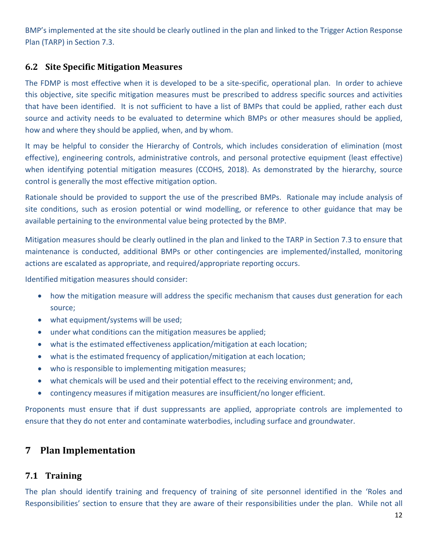BMP's implemented at the site should be clearly outlined in the plan and linked to the Trigger Action Response Plan (TARP) in Section 7.3.

#### **6.2 Site Specific Mitigation Measures**

The FDMP is most effective when it is developed to be a site-specific, operational plan. In order to achieve this objective, site specific mitigation measures must be prescribed to address specific sources and activities that have been identified. It is not sufficient to have a list of BMPs that could be applied, rather each dust source and activity needs to be evaluated to determine which BMPs or other measures should be applied, how and where they should be applied, when, and by whom.

It may be helpful to consider the Hierarchy of Controls, which includes consideration of elimination (most effective), engineering controls, administrative controls, and personal protective equipment (least effective) when identifying potential mitigation measures (CCOHS, 2018). As demonstrated by the hierarchy, source control is generally the most effective mitigation option.

Rationale should be provided to support the use of the prescribed BMPs. Rationale may include analysis of site conditions, such as erosion potential or wind modelling, or reference to other guidance that may be available pertaining to the environmental value being protected by the BMP.

Mitigation measures should be clearly outlined in the plan and linked to the TARP in Section 7.3 to ensure that maintenance is conducted, additional BMPs or other contingencies are implemented/installed, monitoring actions are escalated as appropriate, and required/appropriate reporting occurs.

Identified mitigation measures should consider:

- how the mitigation measure will address the specific mechanism that causes dust generation for each source;
- what equipment/systems will be used;
- under what conditions can the mitigation measures be applied;
- what is the estimated effectiveness application/mitigation at each location;
- what is the estimated frequency of application/mitigation at each location;
- who is responsible to implementing mitigation measures;
- what chemicals will be used and their potential effect to the receiving environment; and,
- contingency measures if mitigation measures are insufficient/no longer efficient.

Proponents must ensure that if dust suppressants are applied, appropriate controls are implemented to ensure that they do not enter and contaminate waterbodies, including surface and groundwater.

## **7 Plan Implementation**

#### **7.1 Training**

The plan should identify training and frequency of training of site personnel identified in the 'Roles and Responsibilities' section to ensure that they are aware of their responsibilities under the plan. While not all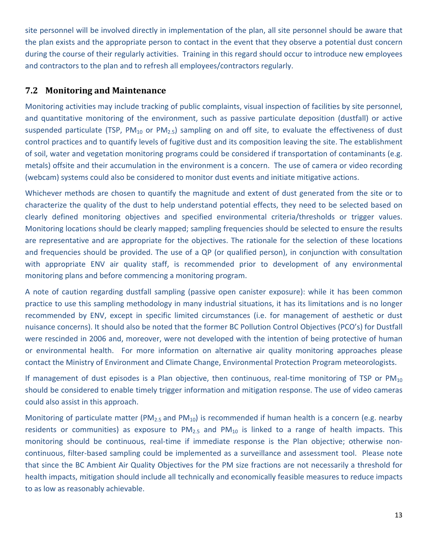site personnel will be involved directly in implementation of the plan, all site personnel should be aware that the plan exists and the appropriate person to contact in the event that they observe a potential dust concern during the course of their regularly activities. Training in this regard should occur to introduce new employees and contractors to the plan and to refresh all employees/contractors regularly.

#### **7.2 Monitoring and Maintenance**

Monitoring activities may include tracking of public complaints, visual inspection of facilities by site personnel, and quantitative monitoring of the environment, such as passive particulate deposition (dustfall) or active suspended particulate (TSP,  $PM_{10}$  or  $PM_{2.5}$ ) sampling on and off site, to evaluate the effectiveness of dust control practices and to quantify levels of fugitive dust and its composition leaving the site. The establishment of soil, water and vegetation monitoring programs could be considered if transportation of contaminants (e.g. metals) offsite and their accumulation in the environment is a concern. The use of camera or video recording (webcam) systems could also be considered to monitor dust events and initiate mitigative actions.

Whichever methods are chosen to quantify the magnitude and extent of dust generated from the site or to characterize the quality of the dust to help understand potential effects, they need to be selected based on clearly defined monitoring objectives and specified environmental criteria/thresholds or trigger values. Monitoring locations should be clearly mapped; sampling frequencies should be selected to ensure the results are representative and are appropriate for the objectives. The rationale for the selection of these locations and frequencies should be provided. The use of a QP (or qualified person), in conjunction with consultation with appropriate ENV air quality staff, is recommended prior to development of any environmental monitoring plans and before commencing a monitoring program.

A note of caution regarding dustfall sampling (passive open canister exposure): while it has been common practice to use this sampling methodology in many industrial situations, it has its limitations and is no longer recommended by ENV, except in specific limited circumstances (i.e. for management of aesthetic or dust nuisance concerns). It should also be noted that the former BC Pollution Control Objectives (PCO's) for Dustfall were rescinded in 2006 and, moreover, were not developed with the intention of being protective of human or environmental health. For more information on alternative air quality monitoring approaches please contact the Ministry of Environment and Climate Change, Environmental Protection Program meteorologists.

If management of dust episodes is a Plan objective, then continuous, real-time monitoring of TSP or  $PM_{10}$ should be considered to enable timely trigger information and mitigation response. The use of video cameras could also assist in this approach.

Monitoring of particulate matter (PM<sub>2.5</sub> and PM<sub>10</sub>) is recommended if human health is a concern (e.g. nearby residents or communities) as exposure to  $PM<sub>2.5</sub>$  and  $PM<sub>10</sub>$  is linked to a range of health impacts. This monitoring should be continuous, real-time if immediate response is the Plan objective; otherwise noncontinuous, filter-based sampling could be implemented as a surveillance and assessment tool. Please note that since the BC Ambient Air Quality Objectives for the PM size fractions are not necessarily a threshold for health impacts, mitigation should include all technically and economically feasible measures to reduce impacts to as low as reasonably achievable.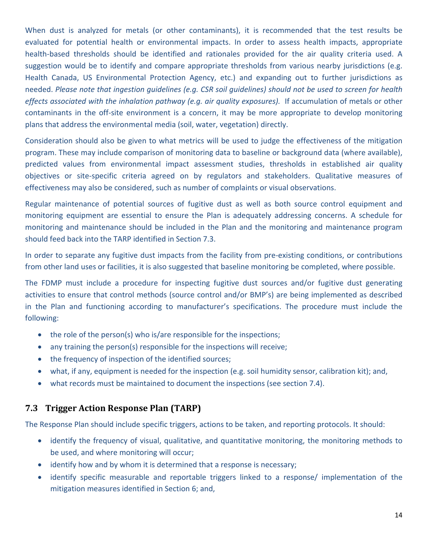When dust is analyzed for metals (or other contaminants), it is recommended that the test results be evaluated for potential health or environmental impacts. In order to assess health impacts, appropriate health-based thresholds should be identified and rationales provided for the air quality criteria used. A suggestion would be to identify and compare appropriate thresholds from various nearby jurisdictions (e.g. Health Canada, US Environmental Protection Agency, etc.) and expanding out to further jurisdictions as needed. Please note that ingestion quidelines (e.g. CSR soil quidelines) should not be used to screen for health *effects associated with the inhalation pathway (e.g. air quality exposures).* If accumulation of metals or other contaminants in the off‐site environment is a concern, it may be more appropriate to develop monitoring plans that address the environmental media (soil, water, vegetation) directly.

Consideration should also be given to what metrics will be used to judge the effectiveness of the mitigation program. These may include comparison of monitoring data to baseline or background data (where available), predicted values from environmental impact assessment studies, thresholds in established air quality objectives or site‐specific criteria agreed on by regulators and stakeholders. Qualitative measures of effectiveness may also be considered, such as number of complaints or visual observations.

Regular maintenance of potential sources of fugitive dust as well as both source control equipment and monitoring equipment are essential to ensure the Plan is adequately addressing concerns. A schedule for monitoring and maintenance should be included in the Plan and the monitoring and maintenance program should feed back into the TARP identified in Section 7.3.

In order to separate any fugitive dust impacts from the facility from pre-existing conditions, or contributions from other land uses or facilities, it is also suggested that baseline monitoring be completed, where possible.

The FDMP must include a procedure for inspecting fugitive dust sources and/or fugitive dust generating activities to ensure that control methods (source control and/or BMP's) are being implemented as described in the Plan and functioning according to manufacturer's specifications. The procedure must include the following:

- the role of the person(s) who is/are responsible for the inspections;
- any training the person(s) responsible for the inspections will receive;
- the frequency of inspection of the identified sources;
- what, if any, equipment is needed for the inspection (e.g. soil humidity sensor, calibration kit); and,
- what records must be maintained to document the inspections (see section 7.4).

#### **7.3 Trigger Action Response Plan (TARP)**

The Response Plan should include specific triggers, actions to be taken, and reporting protocols. It should:

- identify the frequency of visual, qualitative, and quantitative monitoring, the monitoring methods to be used, and where monitoring will occur;
- identify how and by whom it is determined that a response is necessary;
- identify specific measurable and reportable triggers linked to a response/ implementation of the mitigation measures identified in Section 6; and,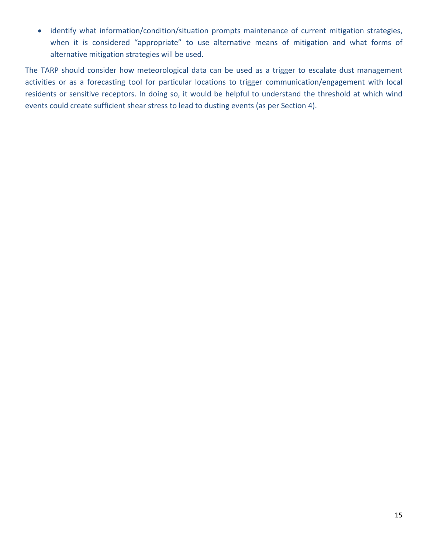identify what information/condition/situation prompts maintenance of current mitigation strategies, when it is considered "appropriate" to use alternative means of mitigation and what forms of alternative mitigation strategies will be used.

The TARP should consider how meteorological data can be used as a trigger to escalate dust management activities or as a forecasting tool for particular locations to trigger communication/engagement with local residents or sensitive receptors. In doing so, it would be helpful to understand the threshold at which wind events could create sufficient shear stress to lead to dusting events (as per Section 4).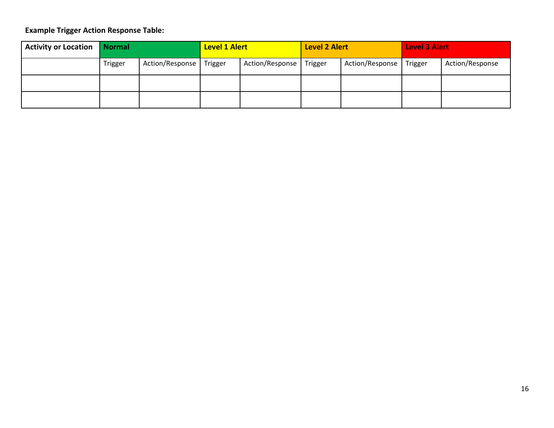# **Example Trigger Action Response Table:**

| <b>Activity or Location</b> | <b>Normal</b>  |                 | <b>Level 1 Alert</b> |                 | <b>Level 2 Alert</b> |                 | <b>Level 3 Alert</b> |                 |
|-----------------------------|----------------|-----------------|----------------------|-----------------|----------------------|-----------------|----------------------|-----------------|
|                             | <b>Trigger</b> | Action/Response | <b>Trigger</b>       | Action/Response | Trigger              | Action/Response | Trigger              | Action/Response |
|                             |                |                 |                      |                 |                      |                 |                      |                 |
|                             |                |                 |                      |                 |                      |                 |                      |                 |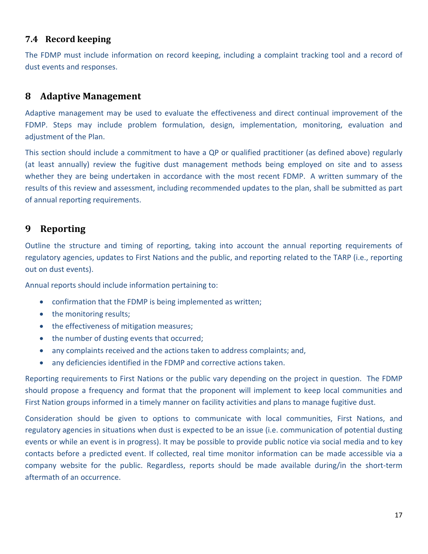#### **7.4 Record keeping**

The FDMP must include information on record keeping, including a complaint tracking tool and a record of dust events and responses.

## **8 Adaptive Management**

Adaptive management may be used to evaluate the effectiveness and direct continual improvement of the FDMP. Steps may include problem formulation, design, implementation, monitoring, evaluation and adjustment of the Plan.

This section should include a commitment to have a QP or qualified practitioner (as defined above) regularly (at least annually) review the fugitive dust management methods being employed on site and to assess whether they are being undertaken in accordance with the most recent FDMP. A written summary of the results of this review and assessment, including recommended updates to the plan, shall be submitted as part of annual reporting requirements.

## **9 Reporting**

Outline the structure and timing of reporting, taking into account the annual reporting requirements of regulatory agencies, updates to First Nations and the public, and reporting related to the TARP (i.e., reporting out on dust events).

Annual reports should include information pertaining to:

- confirmation that the FDMP is being implemented as written;
- the monitoring results;
- the effectiveness of mitigation measures;
- the number of dusting events that occurred;
- any complaints received and the actions taken to address complaints; and,
- any deficiencies identified in the FDMP and corrective actions taken.

Reporting requirements to First Nations or the public vary depending on the project in question. The FDMP should propose a frequency and format that the proponent will implement to keep local communities and First Nation groups informed in a timely manner on facility activities and plans to manage fugitive dust.

Consideration should be given to options to communicate with local communities, First Nations, and regulatory agencies in situations when dust is expected to be an issue (i.e. communication of potential dusting events or while an event is in progress). It may be possible to provide public notice via social media and to key contacts before a predicted event. If collected, real time monitor information can be made accessible via a company website for the public. Regardless, reports should be made available during/in the short-term aftermath of an occurrence.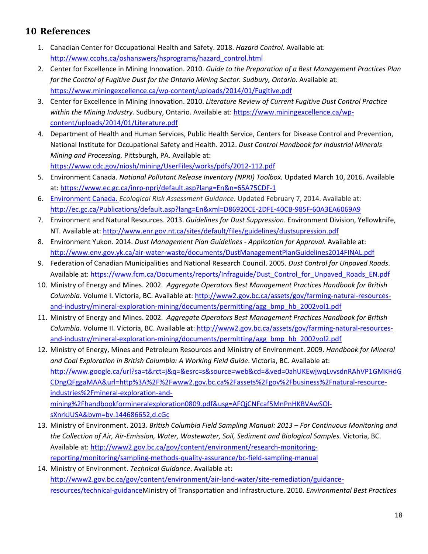## **10 References**

- 1. Canadian Center for Occupational Health and Safety. 2018. *Hazard Control*. Available at: http://www.ccohs.ca/oshanswers/hsprograms/hazard\_control.html
- 2. Center for Excellence in Mining Innovation. 2010. *Guide to the Preparation of a Best Management Practices Plan for the Control of Fugitive Dust for the Ontario Mining Sector. Sudbury, Ontario.* Available at: https://www.miningexcellence.ca/wp‐content/uploads/2014/01/Fugitive.pdf
- 3. Center for Excellence in Mining Innovation. 2010. *Literature Review of Current Fugitive Dust Control Practice within the Mining Industry.* Sudbury, Ontario. Available at: https://www.miningexcellence.ca/wp‐ content/uploads/2014/01/Literature.pdf
- 4. Department of Health and Human Services, Public Health Service, Centers for Disease Control and Prevention, National Institute for Occupational Safety and Health. 2012. *Dust Control Handbook for Industrial Minerals Mining and Processing.* Pittsburgh, PA. Available at: https://www.cdc.gov/niosh/mining/UserFiles/works/pdfs/2012‐112.pdf

- 5. Environment Canada. *National Pollutant Release Inventory (NPRI) Toolbox.* Updated March 10, 2016. Available at: https://www.ec.gc.ca/inrp‐npri/default.asp?lang=En&n=65A75CDF‐1
- 6. Environment Canada. *Ecological Risk Assessment Guidance.* Updated February 7, 2014. Available at: http://ec.gc.ca/Publications/default.asp?lang=En&xml=D86920CE‐2DFE‐40CB‐985F‐60A3EA6069A9
- 7. Environment and Natural Resources. 2013. *Guidelines for Dust Suppression*. Environment Division, Yellowknife, NT. Available at: http://www.enr.gov.nt.ca/sites/default/files/guidelines/dustsupression.pdf
- 8. Environment Yukon. 2014. *Dust Management Plan Guidelines ‐ Application for Approval.* Available at: http://www.env.gov.yk.ca/air‐water‐waste/documents/DustManagementPlanGuidelines2014FINAL.pdf
- 9. Federation of Canadian Municipalities and National Research Council. 2005. *Dust Control for Unpaved Roads*. Available at: https://www.fcm.ca/Documents/reports/Infraguide/Dust\_Control\_for\_Unpaved\_Roads\_EN.pdf
- 10. Ministry of Energy and Mines. 2002. *Aggregate Operators Best Management Practices Handbook for British Columbia.* Volume I. Victoria, BC. Available at: http://www2.gov.bc.ca/assets/gov/farming‐natural‐resources‐ and-industry/mineral-exploration-mining/documents/permitting/agg\_bmp\_hb\_2002vol1.pdf
- 11. Ministry of Energy and Mines. 2002. *Aggregate Operators Best Management Practices Handbook for British Columbia.* Volume II. Victoria, BC. Available at: http://www2.gov.bc.ca/assets/gov/farming‐natural‐resources‐ and-industry/mineral-exploration-mining/documents/permitting/agg\_bmp\_hb\_2002vol2.pdf
- 12. Ministry of Energy, Mines and Petroleum Resources and Ministry of Environment. 2009. *Handbook for Mineral and Coal Exploration in British Columbia: A Working Field Guide*. Victoria, BC. Available at: http://www.google.ca/url?sa=t&rct=j&q=&esrc=s&source=web&cd=&ved=0ahUKEwjwqLvvsdnRAhVP1GMKHdG CDngQFggaMAA&url=http%3A%2F%2Fwww2.gov.bc.ca%2Fassets%2Fgov%2Fbusiness%2Fnatural‐resource‐ industries%2Fmineral‐exploration‐and‐ mining%2Fhandbookformineralexploration0809.pdf&usg=AFQjCNFcaf5MnPnHKBVAwSOl‐ sXnrkJUSA&bvm=bv.144686652,d.cGc
- 13. Ministry of Environment. 2013*. British Columbia Field Sampling Manual: 2013 – For Continuous Monitoring and the Collection of Air, Air‐Emission, Water, Wastewater, Soil, Sediment and Biological Samples.* Victoria, BC. Available at: http://www2.gov.bc.ca/gov/content/environment/research-monitoringreporting/monitoring/sampling‐methods‐quality‐assurance/bc‐field‐sampling‐manual
- 14. Ministry of Environment. *Technical Guidance*. Available at: http://www2.gov.bc.ca/gov/content/environment/air-land-water/site-remediation/guidanceresources/technical‐guidanceMinistry of Transportation and Infrastructure. 2010. *Environmental Best Practices*